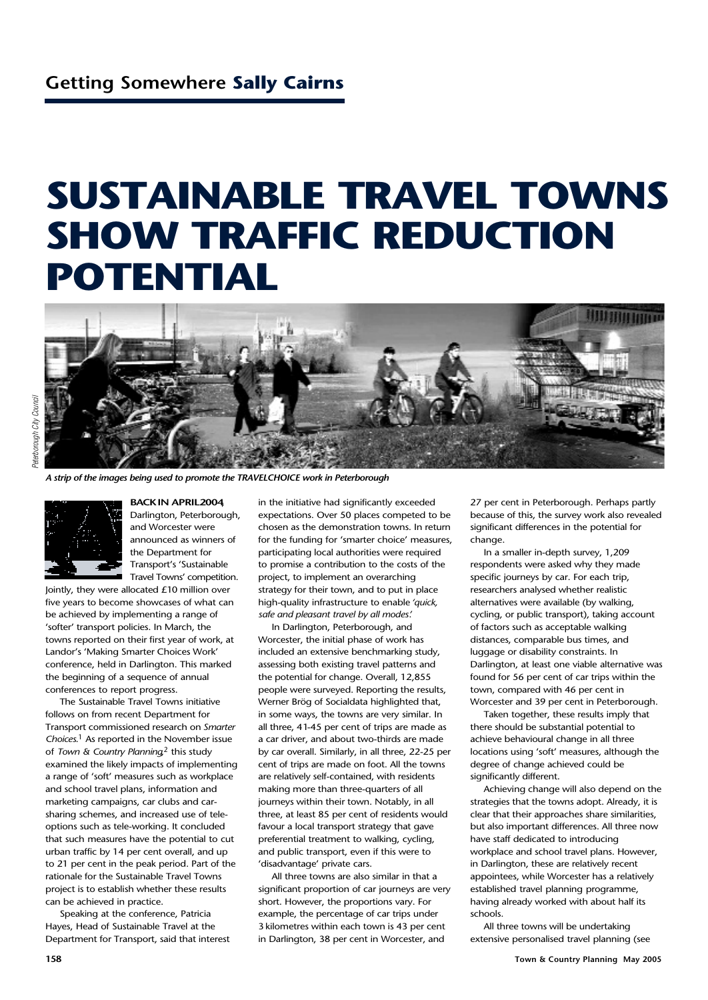## **SUSTAINABLE TRAVEL TOWNS SHOW TRAFFIC REDUCTION POTENTIAL**



*A strip of the images being used to promote the TRAVELCHOICE work in Peterborough*



**BACKIN APRIL2004**, Darlington, Peterborough, and Worcester were announced as winners of the Department for Transport's 'Sustainable Travel Towns' competition.

Jointly, they were allocated £10 million over five years to become showcases of what can be achieved by implementing a range of 'softer' transport policies. In March, the towns reported on their first year of work, at Landor's 'Making Smarter Choices Work' conference, held in Darlington. This marked the beginning of a sequence of annual conferences to report progress.

The Sustainable Travel Towns initiative follows on from recent Department for Transport commissioned research on *Smarter Choices*. <sup>1</sup> As reported in the November issue of *Town & Country Planning*, <sup>2</sup> this study examined the likely impacts of implementing a range of 'soft' measures such as workplace and school travel plans, information and marketing campaigns, car clubs and carsharing schemes, and increased use of teleoptions such as tele-working. It concluded that such measures have the potential to cut urban traffic by 14 per cent overall, and up to 21 per cent in the peak period. Part of the rationale for the Sustainable Travel Towns project is to establish whether these results can be achieved in practice.

Speaking at the conference, Patricia Hayes, Head of Sustainable Travel at the Department for Transport, said that interest in the initiative had significantly exceeded expectations. Over 50 places competed to be chosen as the demonstration towns. In return for the funding for 'smarter choice' measures, participating local authorities were required to promise a contribution to the costs of the project, to implement an overarching strategy for their town, and to put in place high-quality infrastructure to enable *'quick, safe and pleasant travel by all modes'*.

In Darlington, Peterborough, and Worcester, the initial phase of work has included an extensive benchmarking study, assessing both existing travel patterns and the potential for change. Overall, 12,855 people were surveyed. Reporting the results, Werner Brög of Socialdata highlighted that, in some ways, the towns are very similar. In all three, 41-45 per cent of trips are made as a car driver, and about two-thirds are made by car overall. Similarly, in all three, 22-25 per cent of trips are made on foot. All the towns are relatively self-contained, with residents making more than three-quarters of all journeys within their town. Notably, in all three, at least 85 per cent of residents would favour a local transport strategy that gave preferential treatment to walking, cycling, and public transport, even if this were to 'disadvantage' private cars.

All three towns are also similar in that a significant proportion of car journeys are very short. However, the proportions vary. For example, the percentage of car trips under 3kilometres within each town is 43 per cent in Darlington, 38 per cent in Worcester, and

27 per cent in Peterborough. Perhaps partly because of this, the survey work also revealed significant differences in the potential for change.

In a smaller in-depth survey, 1,209 respondents were asked why they made specific journeys by car. For each trip, researchers analysed whether realistic alternatives were available (by walking, cycling, or public transport), taking account of factors such as acceptable walking distances, comparable bus times, and luggage or disability constraints. In Darlington, at least one viable alternative was found for 56 per cent of car trips within the town, compared with 46 per cent in Worcester and 39 per cent in Peterborough.

Taken together, these results imply that there should be substantial potential to achieve behavioural change in all three locations using 'soft' measures, although the degree of change achieved could be significantly different.

Achieving change will also depend on the strategies that the towns adopt. Already, it is clear that their approaches share similarities, but also important differences. All three now have staff dedicated to introducing workplace and school travel plans. However, in Darlington, these are relatively recent appointees, while Worcester has a relatively established travel planning programme, having already worked with about half its schools.

All three towns will be undertaking extensive personalised travel planning (see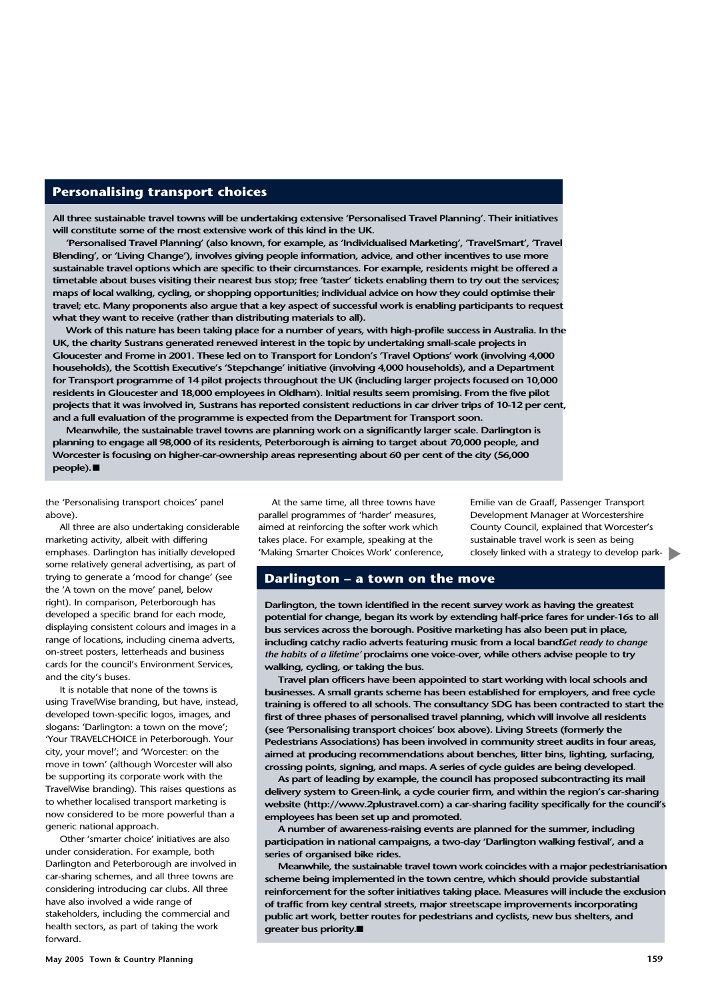## **Personalising transport choices**

**All three sustainable travel towns will be undertaking extensive 'Personalised Travel Planning'. Their initiatives will constitute some of the most extensive work of this kind in the UK.**

**'Personalised Travel Planning' (also known, for example, as 'Individualised Marketing', 'TravelSmart', 'Travel Blending', or 'Living Change'), involves giving people information, advice, and other incentives to use more sustainable travel options which are specific to their circumstances. For example, residents might be offered a timetable about buses visiting their nearest bus stop; free 'taster' tickets enabling them to try out the services; maps of local walking, cycling, or shopping opportunities; individual advice on how they could optimise their travel; etc. Many proponents also argue that a key aspect of successful work is enabling participants to request what they want to receive (rather than distributing materials to all).**

**Work of this nature has been taking place for a number of years, with high-profile success in Australia. In the UK, the charity Sustrans generated renewed interest in the topic by undertaking small-scale projects in Gloucester and Frome in 2001. These led on to Transport for London's 'Travel Options' work (involving 4,000 households), the Scottish Executive's 'Stepchange' initiative (involving 4,000 households), and a Department for Transport programme of 14 pilot projects throughout the UK (including larger projects focused on 10,000 residents in Gloucester and 18,000 employees in Oldham). Initial results seem promising. From the five pilot projects that it was involved in, Sustrans has reported consistent reductions in car driver trips of 10-12 per cent, and a full evaluation of the programme is expected from the Department for Transport soon.**

**Meanwhile, the sustainable travel towns are planning work on a significantly larger scale. Darlington is planning to engage all 98,000 of its residents, Peterborough is aiming to target about 70,000 people, and Worcester is focusing on higher-car-ownership areas representing about 60 per cent of the city (56,000 people).** ■

the 'Personalising transport choices' panel above).

All three are also undertaking considerable marketing activity, albeit with differing emphases. Darlington has initially developed some relatively general advertising, as part of trying to generate a 'mood for change' (see the 'A town on the move' panel, below right). In comparison, Peterborough has developed a specific brand for each mode, displaying consistent colours and images in a range of locations, including cinema adverts, on-street posters, letterheads and business cards for the council's Environment Services, and the city's buses.

It is notable that none of the towns is using TravelWise branding, but have, instead, developed town-specific logos, images, and slogans: 'Darlington: a town on the move'; 'Your TRAVELCHOICE in Peterborough. Your city, your move!'; and 'Worcester: on the move in town' (although Worcester will also be supporting its corporate work with the TravelWise branding). This raises questions as to whether localised transport marketing is now considered to be more powerful than a generic national approach.

Other 'smarter choice' initiatives are also under consideration. For example, both Darlington and Peterborough are involved in car-sharing schemes, and all three towns are considering introducing car clubs. All three have also involved a wide range of stakeholders, including the commercial and health sectors, as part of taking the work forward.

At the same time, all three towns have parallel programmes of 'harder' measures, aimed at reinforcing the softer work which takes place. For example, speaking at the 'Making Smarter Choices Work' conference, Emilie van de Graaff, Passenger Transport Development Manager at Worcestershire County Council, explained that Worcester's sustainable travel work is seen as being closely linked with a strategy to develop park-▼

## **Darlington – a town on the move**

**Darlington, the town identified in the recent survey work as having the greatest potential for change, began its work by extending half-price fares for under-16s to all bus services across the borough. Positive marketing has also been put in place, including catchy radio adverts featuring music from a local band.** *'Get ready to change the habits of a lifetime'* **proclaims one voice-over, while others advise people to try walking, cycling, or taking the bus.**

**Travel plan officers have been appointed to start working with local schools and businesses. A small grants scheme has been established for employers, and free cycle training is offered to all schools. The consultancy SDG has been contracted to start the first of three phases of personalised travel planning, which will involve all residents (see 'Personalising transport choices' box above). Living Streets (formerly the Pedestrians Associations) has been involved in community street audits in four areas, aimed at producing recommendations about benches, litter bins, lighting, surfacing, crossing points, signing, and maps. A series of cycle guides are being developed.**

**As part of leading by example, the council has proposed subcontracting its mail delivery system to Green-link, a cycle courier firm, and within the region's car-sharing website (http://www.2plustravel.com) a car-sharing facility specifically for the council's employees has been set up and promoted.**

**A number of awareness-raising events are planned for the summer, including participation in national campaigns, a two-day 'Darlington walking festival', and a series of organised bike rides.**

**Meanwhile, the sustainable travel town work coincides with a major pedestrianisation scheme being implemented in the town centre, which should provide substantial reinforcement for the softer initiatives taking place. Measures will include the exclusion of traffic from key central streets, major streetscape improvements incorporating public art work, better routes for pedestrians and cyclists, new bus shelters, and greater bus priority.** ■